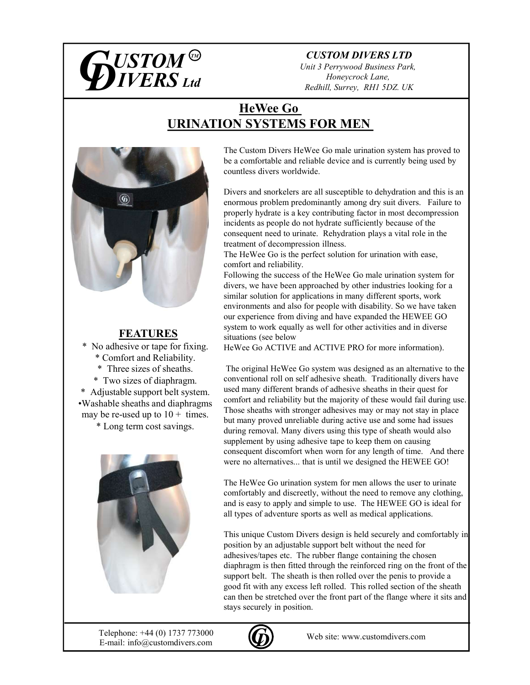

### CUSTOM DIVERS LTD

Unit 3 Perrywood Business Park, Honeycrock Lane, Redhill, Surrey, RH1 5DZ. UK

# HeWee Go URINATION SYSTEMS FOR MEN



# FEATURES

No adhesive or tape for fixing. \* Comfort and Reliability.

\* Three sizes of sheaths.

\* Two sizes of diaphragm. \* Adjustable support belt system.

•Washable sheaths and diaphragms may be re-used up to  $10 + \text{times}$ .

\* Long term cost savings.



The Custom Divers HeWee Go male urination system has proved to be a comfortable and reliable device and is currently being used by countless divers worldwide.

Divers and snorkelers are all susceptible to dehydration and this is an enormous problem predominantly among dry suit divers. Failure to properly hydrate is a key contributing factor in most decompression incidents as people do not hydrate sufficiently because of the consequent need to urinate. Rehydration plays a vital role in the treatment of decompression illness.

The HeWee Go is the perfect solution for urination with ease, comfort and reliability.

Following the success of the HeWee Go male urination system for divers, we have been approached by other industries looking for a similar solution for applications in many different sports, work environments and also for people with disability. So we have taken our experience from diving and have expanded the HEWEE GO system to work equally as well for other activities and in diverse situations (see below

HeWee Go ACTIVE and ACTIVE PRO for more information).

The original HeWee Go system was designed as an alternative to the conventional roll on self adhesive sheath. Traditionally divers have used many different brands of adhesive sheaths in their quest for comfort and reliability but the majority of these would fail during use. Those sheaths with stronger adhesives may or may not stay in place but many proved unreliable during active use and some had issues during removal. Many divers using this type of sheath would also supplement by using adhesive tape to keep them on causing consequent discomfort when worn for any length of time. And there were no alternatives... that is until we designed the HEWEE GO!

The HeWee Go urination system for men allows the user to urinate comfortably and discreetly, without the need to remove any clothing, and is easy to apply and simple to use. The HEWEE GO is ideal for all types of adventure sports as well as medical applications.

This unique Custom Divers design is held securely and comfortably in position by an adjustable support belt without the need for adhesives/tapes etc. The rubber flange containing the chosen diaphragm is then fitted through the reinforced ring on the front of the support belt. The sheath is then rolled over the penis to provide a good fit with any excess left rolled. This rolled section of the sheath can then be stretched over the front part of the flange where it sits and stays securely in position.

E-mail: info@customdivers.com Telephone:  $+44 (0) 1737 773000$  Web site: www.customdivers.com

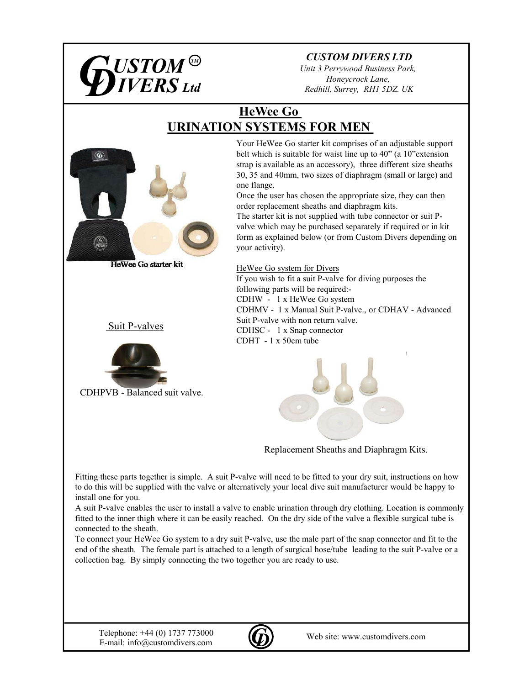

# CUSTOM DIVERS LTD

Unit 3 Perrywood Business Park, Honeycrock Lane, Redhill, Surrey, RH1 5DZ. UK

# HeWee Go URINATION SYSTEMS FOR MEN



Your HeWee Go starter kit comprises of an adjustable support belt which is suitable for waist line up to 40" (a 10" extension strap is available as an accessory), three different size sheaths 30, 35 and 40mm, two sizes of diaphragm (small or large) and one flange.

Once the user has chosen the appropriate size, they can then order replacement sheaths and diaphragm kits.

The starter kit is not supplied with tube connector or suit Pvalve which may be purchased separately if required or in kit form as explained below (or from Custom Divers depending on your activity).

30, 35 and 40mm, two sizes of diaphragm (small one flame).<br>
Once the user has chosen the appropriate size, the<br>
order replacement sheaths and diaphragm kits.<br>
The starter kit is not supplied with tube comector<br>
Valve which Suit P-valves<br>CDHSC - 1 x Snap connector HeWee Go system for Divers If you wish to fit a suit P-valve for diving purposes the following parts will be required:- *Redhill, Surrey, RHI SDZ. UK*<br> *Redhill, Surrey, RHI SDZ. UK*<br> **HeWee Go**<br> **NOVERTEMS FOR MEN**<br>
Your HeWee Go starter kit comprises of an adjustable support<br>
belt which is suitable for wast line up to 40<sup>T</sup> (a 10° cxtensi Redhill, Surrey, RH1 5DZ. UK<br> **HeWee Go**<br> **NOVE TEMS FOR MEN**<br>
Your HeWee Go starter kit comprises of an adjustable support<br>
belt which is suitable for waist line up to 40" (a 10"extension<br>
strap is available as an accesso Suit P-valve with non return valve. **HeWee Go**<br> **NOVERTEMS FOR MEN**<br>
Your HeWee Go starter kit comprises of an adjustable support<br>
belt which is suitable for wast line up to 40" (a 10" extension<br>
strap is available as an accessory), three different size shea **N SYSTEMS FOR MEN**<br>
Your Hewee Go starter kit comprises of an adjustable support<br>
belt which is suitable for waist line up to 40" (a 10"extension<br>
starts are also an accessory), three different size sheaths<br>
30, 35 and 4



Replacement Sheaths and Diaphragm Kits.

Fitting these parts together is simple. A suit P-valve will need to be fitted to your dry suit, instructions on how to do this will be supplied with the valve or alternatively your local dive suit manufacturer would be happy to install one for you.

A suit P-valve enables the user to install a valve to enable urination through dry clothing. Location is commonly fitted to the inner thigh where it can be easily reached. On the dry side of the valve a flexible surgical tube is connected to the sheath.

To connect your HeWee Go system to a dry suit P-valve, use the male part of the snap connector and fit to the end of the sheath. The female part is attached to a length of surgical hose/tube leading to the suit P-valve or a collection bag. By simply connecting the two together you are ready to use.

E-mail: info@customdivers.com Telephone:  $+44 (0) 1737 773000$  Web site: www.customdivers.com

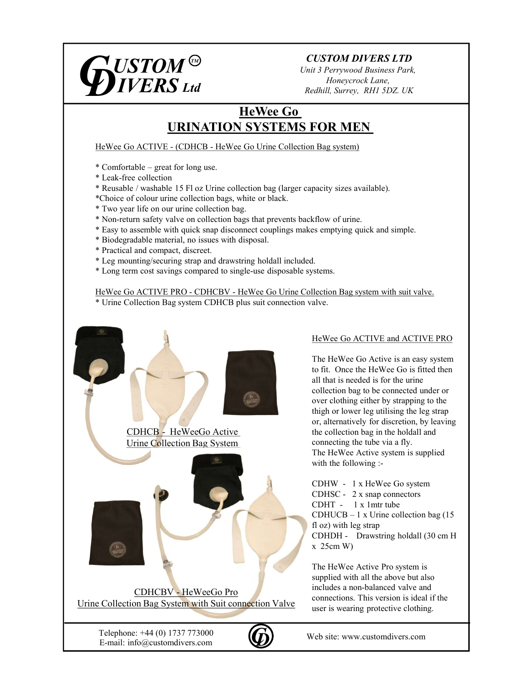

# CUSTOM DIVERS LTD

Unit 3 Perrywood Business Park, Honeycrock Lane, Redhill, Surrey, RH1 5DZ. UK

# HeWee Go URINATION SYSTEMS FOR MEN  $\begin{array}{l|l} \hline \textbf{USTOM} \, \textcircled{9} & \textbf{CUSTOM DIVERS LTD} \ \textbf{DINERS LTA} & \textit{Unit 3 Perrywood Business Park}, \ \textit{Homecrock Lane}, \ \textit{HomeCGA} & \textit{Redhill, Survey, RHI 5DZ. UK} \ \textbf{HeWee Go} & \textbf{MENATION SYSTEMS FOR MEN} \ \textbf{HeWee Go} & \textbf{CDFICHEB - HeWee Go Urine Collection Bag system} \ \text{\text{\#}Cunfortable = great for long use.} \ \text{\#} \textbf{Lack-free collection} & \texttt{#} \textbf{Culection} & \texttt{bag ($  $\begin{array}{ll} \textbf{USTOM} \textcircled{9} & \textbf{CUSTOM DIVERS LTD} \ \textbf{DIVERS LTO} & \textbf{CUSTOM DIVERS LTD} \ \textbf{DIVERS Ltd} & \textbf{Honeywood Business Park}, \ \textbf{Honeytrocol Ruan}, \ \textbf{Bedhill}, \textbf{Surrey}, \textbf{RHI 5DZ. UK} \ \textbf{Hewee Go} & \textbf{URINATION SYSTEMS FOR MEN} \ \textbf{Hewee Go ACTIVE - (CDHCB - HeWee Go Urine Collection Bag system)} \ \text{* Comfortable - great for long use.} \ \text{\text{\textbf{*}{{\color{red}k}} = 1.5 F1 oz Urine collection bag$

\* Leak-free collection

- \* Reusable / washable 15 Fl oz Urine collection bag (larger capacity sizes available).
- \*Choice of colour urine collection bags, white or black.
- \* Two year life on our urine collection bag.
- \* Non-return safety valve on collection bags that prevents backflow of urine.
- \* Easy to assemble with quick snap disconnect couplings makes emptying quick and simple.
- \* Biodegradable material, no issues with disposal.
- \* Practical and compact, discreet.
- \* Leg mounting/securing strap and drawstring holdall included.
- \* Long term cost savings compared to single-use disposable systems.

THE THE MANATION SYSTEMS FOR MENTALLY AND HAVANTION SYSTEMS FOR MENTALLY AND REVISE CONTINUES.<br>
HeWee Go ACTIVE - (CDHCB - HeWee Go Urine Collection Bag system)<br>  $\uparrow$  Combustel - great for long use.<br>  $\uparrow$  Combustel - gre \* Urine Collection Bag system CDHCB plus suit connection valve.



### HeWee Go ACTIVE and ACTIVE PRO

The HeWee Go Active is an easy system to fit. Once the HeWee Go is fitted then all that is needed is for the urine collection bag to be connected under or over clothing either by strapping to the thigh or lower leg utilising the leg strap or, alternatively for discretion, by leaving the collection bag in the holdall and connecting the tube via a fly. The HeWee Active system is supplied with the following :-1.<br>
Ilection Bag system with suit valve.<br>
alve.<br>
HeWee Go ACTIVE and ACTIVE PRO<br>
The HeWee Go Active is an easy system<br>
to fit. Once the HeWee Go is fitted then<br>
all that is needed is for the urine<br>
collection bag to be co Stems.<br>
Ilection Bag system with suit valve.<br>
alve.<br>
HeWee Go ACTIVE and ACTIVE PRO<br>
The HeWee Go Active is an easy system<br>
to fit. Once the HeWee Go is fitted then<br>
all that is needed is for the urine<br>
colection bag to b Hection Bag system with suit valve.<br>
HeWee Go ACTIVE and ACTIVE PRO<br>
The HeWee Go Active is an easy system<br>
to fit. Once the HeWee Go is fitted then<br>
all that is needed is for the urine<br>
collection bag to be connected und llection Bag system with suit valve.<br>
alve.<br>
HeWee Go ACTIVE and ACTIVE PRO<br>
The HeWee Go Active is an easy system<br>
to fit. Once the HeWee Go is fitted then<br>
all that is needed is for the urine<br>
collection bag to be connec HeWee Go ACTIVE and ACTIVE PRO<br>The HeWee Go Active is an easy system<br>to fit. Once the HeWee Go is fitted then<br>all that is needed is for the urine<br>collection bag to be connected under or<br>over clothing either by strapping t

fl oz) with leg strap  $x \sim 25$ cm W)

The HeWee Active Pro system is supplied with all the above but also includes a non-balanced valve and connections. This version is ideal if the user is wearing protective clothing.

E-mail: info@customdivers.com E-mail: info@customdivers.com Telephone:  $+44(0)$  1737 773000